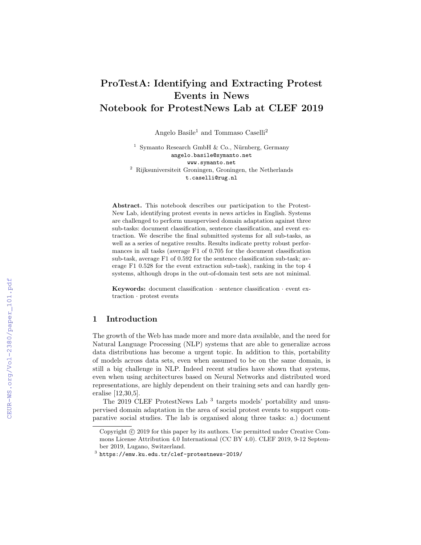# ProTestA: Identifying and Extracting Protest Events in News Notebook for ProtestNews Lab at CLEF 2019

Angelo Basile<sup>1</sup> and Tommaso Caselli<sup>2</sup>

<sup>1</sup> Symanto Research GmbH & Co., Nürnberg, Germany angelo.basile@symanto.net www.symanto.net  $^{\rm 2}$  Rijksuniversiteit Groningen, Groningen, the Netherlands t.caselli@rug.nl

Abstract. This notebook describes our participation to the Protest-New Lab, identifying protest events in news articles in English. Systems are challenged to perform unsupervised domain adaptation against three sub-tasks: document classification, sentence classification, and event extraction. We describe the final submitted systems for all sub-tasks, as well as a series of negative results. Results indicate pretty robust performances in all tasks (average F1 of 0.705 for the document classification sub-task, average F1 of 0.592 for the sentence classification sub-task; average F1 0.528 for the event extraction sub-task), ranking in the top 4 systems, although drops in the out-of-domain test sets are not minimal.

Keywords: document classification  $\cdot$  sentence classification  $\cdot$  event extraction · protest events

# 1 Introduction

The growth of the Web has made more and more data available, and the need for Natural Language Processing (NLP) systems that are able to generalize across data distributions has become a urgent topic. In addition to this, portability of models across data sets, even when assumed to be on the same domain, is still a big challenge in NLP. Indeed recent studies have shown that systems, even when using architectures based on Neural Networks and distributed word representations, are highly dependent on their training sets and can hardly generalise [12,30,5].

The 2019 CLEF ProtestNews Lab<sup>3</sup> targets models' portability and unsupervised domain adaptation in the area of social protest events to support comparative social studies. The lab is organised along three tasks: a.) document

Copyright  $\odot$  2019 for this paper by its authors. Use permitted under Creative Commons License Attribution 4.0 International (CC BY 4.0). CLEF 2019, 9-12 September 2019, Lugano, Switzerland.

 $^3$  https://emw.ku.edu.tr/clef-protestnews-2019/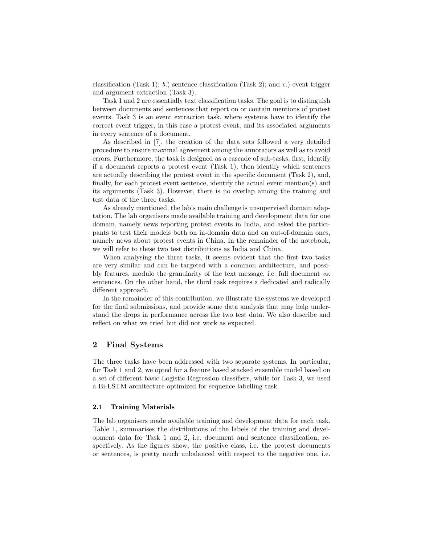classification (Task 1); b.) sentence classification (Task 2); and c.) event trigger and argument extraction (Task 3).

Task 1 and 2 are essentially text classification tasks. The goal is to distinguish between documents and sentences that report on or contain mentions of protest events. Task 3 is an event extraction task, where systems have to identify the correct event trigger, in this case a protest event, and its associated arguments in every sentence of a document.

As described in [7], the creation of the data sets followed a very detailed procedure to ensure maximal agreement among the annotators as well as to avoid errors. Furthermore, the task is designed as a cascade of sub-tasks: first, identify if a document reports a protest event (Task 1), then identify which sentences are actually describing the protest event in the specific document (Task 2), and, finally, for each protest event sentence, identify the actual event mention(s) and its arguments (Task 3). However, there is no overlap among the training and test data of the three tasks.

As already mentioned, the lab's main challenge is unsupervised domain adaptation. The lab organisers made available training and development data for one domain, namely news reporting protest events in India, and asked the participants to test their models both on in-domain data and on out-of-domain ones, namely news about protest events in China. In the remainder of the notebook, we will refer to these two test distributions as India and China.

When analysing the three tasks, it seems evident that the first two tasks are very similar and can be targeted with a common architecture, and possibly features, modulo the granularity of the text message, i.e. full document vs. sentences. On the other hand, the third task requires a dedicated and radically different approach.

In the remainder of this contribution, we illustrate the systems we developed for the final submissions, and provide some data analysis that may help understand the drops in performance across the two test data. We also describe and reflect on what we tried but did not work as expected.

# 2 Final Systems

The three tasks have been addressed with two separate systems. In particular, for Task 1 and 2, we opted for a feature based stacked ensemble model based on a set of different basic Logistic Regression classifiers, while for Task 3, we used a Bi-LSTM architecture optimized for sequence labelling task.

#### 2.1 Training Materials

The lab organisers made available training and development data for each task. Table 1, summarises the distributions of the labels of the training and development data for Task 1 and 2, i.e. document and sentence classification, respectively. As the figures show, the positive class, i.e. the protest documents or sentences, is pretty much unbalanced with respect to the negative one, i.e.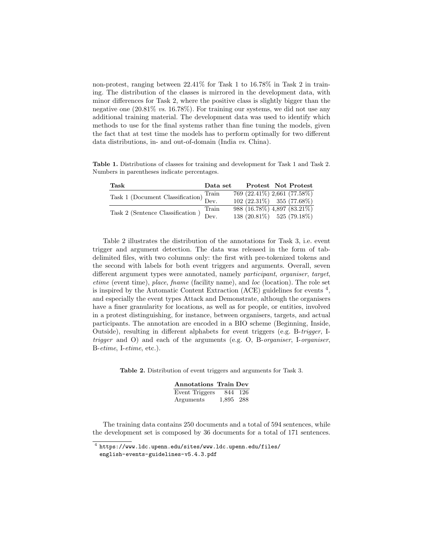non-protest, ranging between 22.41% for Task 1 to 16.78% in Task 2 in training. The distribution of the classes is mirrored in the development data, with minor differences for Task 2, where the positive class is slightly bigger than the negative one (20.81% vs. 16.78%). For training our systems, we did not use any additional training material. The development data was used to identify which methods to use for the final systems rather than fine tuning the models, given the fact that at test time the models has to perform optimally for two different data distributions, in- and out-of-domain (India vs. China).

Table 1. Distributions of classes for training and development for Task 1 and Task 2. Numbers in parentheses indicate percentages.

| Task                                                                              | $\mathbf{Data}\ \mathbf{set}$ | Protest Not Protest             |  |
|-----------------------------------------------------------------------------------|-------------------------------|---------------------------------|--|
| $\fbox{Task 1 (Document Classification) } \overline{\text{Train}} \\ \text{Dev.}$ |                               | $769 (22.41\%) 2,661 (77.58\%)$ |  |
|                                                                                   |                               | $102(22.31\%)$ 355 (77.68%)     |  |
| Task 2 (Sentence Classification )                                                 | Train                         | 988 (16.78%) 4,897 (83.21%)     |  |
|                                                                                   | Dev.                          | 138 (20.81%) 525 (79.18%)       |  |

Table 2 illustrates the distribution of the annotations for Task 3, i.e. event trigger and argument detection. The data was released in the form of tabdelimited files, with two columns only: the first with pre-tokenized tokens and the second with labels for both event triggers and arguments. Overall, seven different argument types were annotated, namely participant, organiser, target, etime (event time), place, fname (facility name), and loc (location). The role set is inspired by the Automatic Content Extraction (ACE) guidelines for events <sup>4</sup> , and especially the event types Attack and Demonstrate, although the organisers have a finer granularity for locations, as well as for people, or entities, involved in a protest distinguishing, for instance, between organisers, targets, and actual participants. The annotation are encoded in a BIO scheme (Beginning, Inside, Outside), resulting in different alphabets for event triggers (e.g. B-trigger, Itrigger and O) and each of the arguments (e.g. O, B-organiser, I-organiser, B-etime, I-etime, etc.).

Table 2. Distribution of event triggers and arguments for Task 3.

| <b>Annotations Train Dev</b> |           |  |
|------------------------------|-----------|--|
| Event Triggers 844 126       |           |  |
| Arguments                    | 1,895 288 |  |

The training data contains 250 documents and a total of 594 sentences, while the development set is composed by 36 documents for a total of 171 sentences.

 $^4$  https://www.ldc.upenn.edu/sites/www.ldc.upenn.edu/files/

english-events-guidelines-v5.4.3.pdf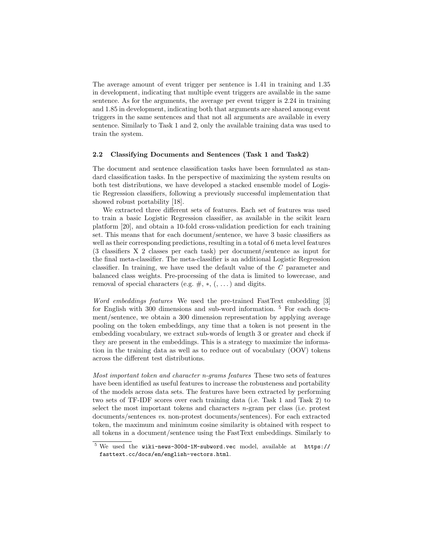The average amount of event trigger per sentence is 1.41 in training and 1.35 in development, indicating that multiple event triggers are available in the same sentence. As for the arguments, the average per event trigger is 2.24 in training and 1.85 in development, indicating both that arguments are shared among event triggers in the same sentences and that not all arguments are available in every sentence. Similarly to Task 1 and 2, only the available training data was used to train the system.

#### 2.2 Classifying Documents and Sentences (Task 1 and Task2)

The document and sentence classification tasks have been formulated as standard classification tasks. In the perspective of maximizing the system results on both test distributions, we have developed a stacked ensemble model of Logistic Regression classifiers, following a previously successful implementation that showed robust portability [18].

We extracted three different sets of features. Each set of features was used to train a basic Logistic Regression classifier, as available in the scikit learn platform [20], and obtain a 10-fold cross-validation prediction for each training set. This means that for each document/sentence, we have 3 basic classifiers as well as their corresponding predictions, resulting in a total of 6 meta level features (3 classifiers X 2 classes per each task) per document/sentence as input for the final meta-classifier. The meta-classifier is an additional Logistic Regression classifier. In training, we have used the default value of the C parameter and balanced class weights. Pre-processing of the data is limited to lowercase, and removal of special characters (e.g.  $\#$ ,  $*,$   $($ ,  $\dots)$ ) and digits.

Word embeddings features We used the pre-trained FastText embedding [3] for English with 300 dimensions and sub-word information. <sup>5</sup> For each document/sentence, we obtain a 300 dimension representation by applying average pooling on the token embeddings, any time that a token is not present in the embedding vocabulary, we extract sub-words of length 3 or greater and check if they are present in the embeddings. This is a strategy to maximize the information in the training data as well as to reduce out of vocabulary (OOV) tokens across the different test distributions.

Most important token and character n-grams features These two sets of features have been identified as useful features to increase the robusteness and portability of the models across data sets. The features have been extracted by performing two sets of TF-IDF scores over each training data (i.e. Task 1 and Task 2) to select the most important tokens and characters  $n$ -gram per class (i.e. protest documents/sentences vs. non-protest documents/sentences). For each extracted token, the maximum and minimum cosine similarity is obtained with respect to all tokens in a document/sentence using the FastText embeddings. Similarly to

fasttext.cc/docs/en/english-vectors.html.

<sup>5</sup> We used the wiki-news-300d-1M-subword.vec model, available at https://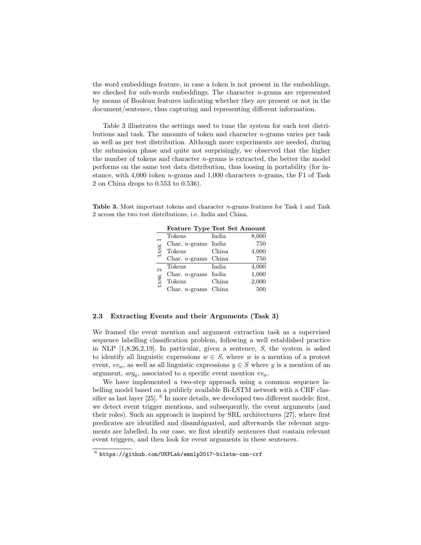the word embeddings feature, in case a token is not present in the embeddings, we checked for sub-words embeddings. The character  $n$ -grams are represented by means of Boolean features indicating whether they are present or not in the document/sentence, thus capturing and representing different information.

Table 3 illustrates the settings used to tune the system for each test distributions and task. The amounts of token and character n-grams varies per task as well as per test distribution. Although more experiments are needed, during the submission phase and quite not surprisingly, we observed that the higher the number of tokens and character  $n$ -grams is extracted, the better the model performs on the same test data distribution, thus loosing in portability (for instance, with 4,000 token n-grams and 1,000 characters n-grams, the F1 of Task 2 on China drops to 0.553 to 0.536).

Table 3. Most important tokens and character n-grams features for Task 1 and Task 2 across the two test distributions, i.e. India and China.

|                    | reature Type Test Set Amount |       |       |
|--------------------|------------------------------|-------|-------|
|                    | Tokens                       | India | 8,000 |
| TASK <sub>1</sub>  | Char. $n$ -grams India       |       | 750   |
|                    | <b>Tokens</b>                | China | 4,000 |
|                    | Char. $n$ -grams China       |       | 750   |
| $\mathbf{\hat{c}}$ | Tokens                       | India | 4,000 |
|                    | Char. $n$ -grams India       |       | 1,000 |
| <b>TASK</b>        | <b>Tokens</b>                | China | 2,000 |
|                    | Char. $n$ -grams China       |       | 500   |

Feature Type Test Set Amount

### 2.3 Extracting Events and their Arguments (Task 3)

We framed the event mention and argument extraction task as a supervised sequence labelling classification problem, following a well established practice in NLP [1,8,26,2,19]. In particular, given a sentence, S, the system is asked to identify all linguistic expressions  $w \in S$ , where w is a mention of a protest event,  $ev_w$ , as well as all linguistic expressions  $y \in S$  where y is a mention of an argument,  $arg_u$ , associated to a specific event mention  $ev_w$ .

We have implemented a two-step approach using a common sequence labelling model based on a publicly available Bi-LSTM network with a CRF classifier as last layer  $[25]$ . <sup>6</sup> In more details, we developed two different models: first, we detect event trigger mentions, and subsequently, the event arguments (and their roles). Such an approach is inspired by SRL architectures [27], where first predicates are identified and disambiguated, and afterwards the relevant arguments are labelled. In our case, we first identify sentences that contain relevant event triggers, and then look for event arguments in these sentences.

 $^6$ https://github.com/UKPLab/emnlp2017-bilstm-cnn-crf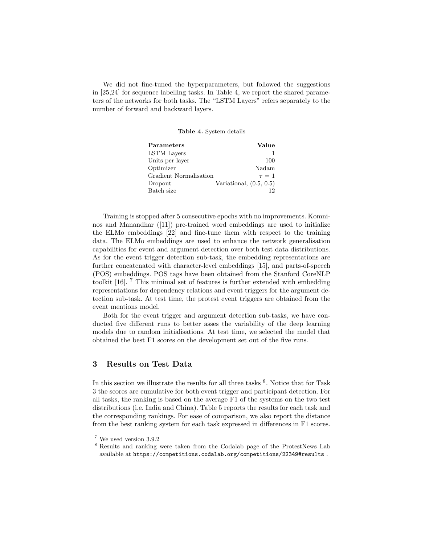We did not fine-tuned the hyperparameters, but followed the suggestions in [25,24] for sequence labelling tasks. In Table 4, we report the shared parameters of the networks for both tasks. The "LSTM Layers" refers separately to the number of forward and backward layers.

#### Table 4. System details

| $\mathbf{Parameters}$  | Value                     |
|------------------------|---------------------------|
| LSTM Layers            |                           |
| Units per layer        | 100                       |
| Optimizer              | Nadam                     |
| Gradient Normalisation | $\tau = 1$                |
| Dropout                | Variational, $(0.5, 0.5)$ |
| Batch size             |                           |

Training is stopped after 5 consecutive epochs with no improvements. Komninos and Manandhar ([11]) pre-trained word embeddings are used to initialize the ELMo embeddings [22] and fine-tune them with respect to the training data. The ELMo embeddings are used to enhance the network generalisation capabilities for event and argument detection over both test data distributions. As for the event trigger detection sub-task, the embedding representations are further concatenated with character-level embeddings [15], and parts-of-speech (POS) embeddings. POS tags have been obtained from the Stanford CoreNLP toolkit [16]. <sup>7</sup> This minimal set of features is further extended with embedding representations for dependency relations and event triggers for the argument detection sub-task. At test time, the protest event triggers are obtained from the event mentions model.

Both for the event trigger and argument detection sub-tasks, we have conducted five different runs to better asses the variability of the deep learning models due to random initialisations. At test time, we selected the model that obtained the best F1 scores on the development set out of the five runs.

# 3 Results on Test Data

In this section we illustrate the results for all three tasks <sup>8</sup>. Notice that for Task 3 the scores are cumulative for both event trigger and participant detection. For all tasks, the ranking is based on the average F1 of the systems on the two test distributions (i.e. India and China). Table 5 reports the results for each task and the corresponding rankings. For ease of comparison, we also report the distance from the best ranking system for each task expressed in differences in F1 scores.

<sup>7</sup> We used version 3.9.2

<sup>8</sup> Results and ranking were taken from the Codalab page of the ProtestNews Lab available at https://competitions.codalab.org/competitions/22349#results .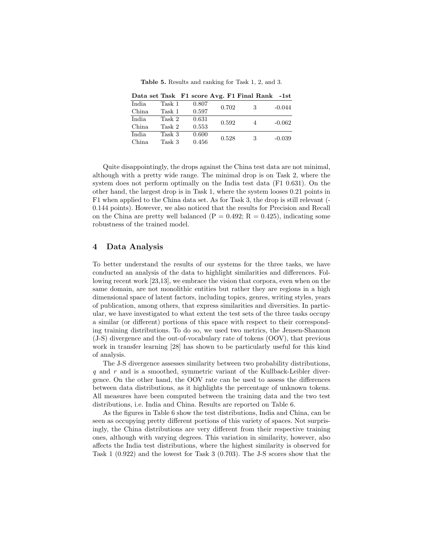Table 5. Results and ranking for Task 1, 2, and 3.

|        |        |       |       | Data set Task F1 score Avg. F1 Final Rank -1st |          |
|--------|--------|-------|-------|------------------------------------------------|----------|
| India  | Task 1 | 0.807 | 0.702 | 3                                              | $-0.044$ |
| China  | Task 1 | 0.597 |       |                                                |          |
| India. | Task 2 | 0.631 | 0.592 | 4                                              | $-0.062$ |
| China  | Task 2 | 0.553 |       |                                                |          |
| India. | Task 3 | 0.600 | 0.528 | 3                                              | $-0.039$ |
| China. | Task 3 | 0.456 |       |                                                |          |

Quite disappointingly, the drops against the China test data are not minimal, although with a pretty wide range. The minimal drop is on Task 2, where the system does not perform optimally on the India test data (F1 0.631). On the other hand, the largest drop is in Task 1, where the system looses 0.21 points in F1 when applied to the China data set. As for Task 3, the drop is still relevant (- 0.144 points). However, we also noticed that the results for Precision and Recall on the China are pretty well balanced  $(P = 0.492; R = 0.425)$ , indicating some robustness of the trained model.

#### 4 Data Analysis

To better understand the results of our systems for the three tasks, we have conducted an analysis of the data to highlight similarities and differences. Following recent work [23,13], we embrace the vision that corpora, even when on the same domain, are not monolithic entities but rather they are regions in a high dimensional space of latent factors, including topics, genres, writing styles, years of publication, among others, that express similarities and diversities. In particular, we have investigated to what extent the test sets of the three tasks occupy a similar (or different) portions of this space with respect to their corresponding training distributions. To do so, we used two metrics, the Jensen-Shannon (J-S) divergence and the out-of-vocabulary rate of tokens (OOV), that previous work in transfer learning [28] has shown to be particularly useful for this kind of analysis.

The J-S divergence assesses similarity between two probability distributions,  $q$  and  $r$  and is a smoothed, symmetric variant of the Kullback-Leibler divergence. On the other hand, the OOV rate can be used to assess the differences between data distributions, as it highlights the percentage of unknown tokens. All measures have been computed between the training data and the two test distributions, i.e. India and China. Results are reported on Table 6.

As the figures in Table 6 show the test distributions, India and China, can be seen as occupying pretty different portions of this variety of spaces. Not surprisingly, the China distributions are very different from their respective training ones, although with varying degrees. This variation in similarity, however, also affects the India test distributions, where the highest similarity is observed for Task 1 (0.922) and the lowest for Task 3 (0.703). The J-S scores show that the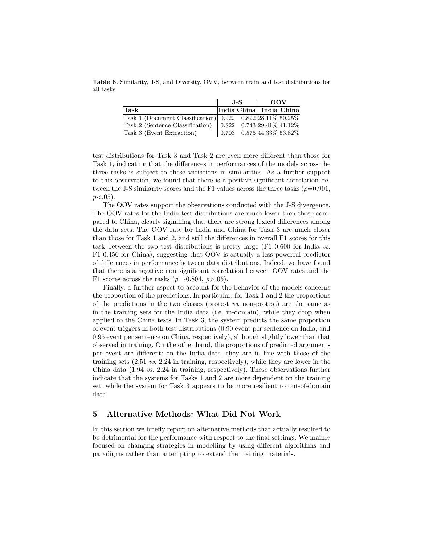Table 6. Similarity, J-S, and Diversity, OVV, between train and test distributions for all tasks

|                                                                                       | J-S |  | $\overline{OOV}$        |  |
|---------------------------------------------------------------------------------------|-----|--|-------------------------|--|
| Task                                                                                  |     |  | India China India China |  |
| Task 1 (Document Classification) $\boxed{0.922 \quad 0.822 \,   28.11\% \, 50.25\% }$ |     |  |                         |  |
|                                                                                       |     |  |                         |  |
|                                                                                       |     |  |                         |  |

test distributions for Task 3 and Task 2 are even more different than those for Task 1, indicating that the differences in performances of the models across the three tasks is subject to these variations in similarities. As a further support to this observation, we found that there is a positive significant correlation between the J-S similarity scores and the F1 values across the three tasks ( $\rho$ =0.901,  $p < .05$ ).

The OOV rates support the observations conducted with the J-S divergence. The OOV rates for the India test distributions are much lower then those compared to China, clearly signalling that there are strong lexical differences among the data sets. The OOV rate for India and China for Task 3 are much closer than those for Task 1 and 2, and still the differences in overall F1 scores for this task between the two test distributions is pretty large (F1 0.600 for India vs. F1 0.456 for China), suggesting that OOV is actually a less powerful predictor of differences in performance between data distributions. Indeed, we have found that there is a negative non significant correlation between OOV rates and the F1 scores across the tasks ( $\rho$ =-0.804,  $p$ >.05).

Finally, a further aspect to account for the behavior of the models concerns the proportion of the predictions. In particular, for Task 1 and 2 the proportions of the predictions in the two classes (protest  $vs.$  non-protest) are the same as in the training sets for the India data (i.e. in-domain), while they drop when applied to the China tests. In Task 3, the system predicts the same proportion of event triggers in both test distributions (0.90 event per sentence on India, and 0.95 event per sentence on China, respectively), although slightly lower than that observed in training. On the other hand, the proportions of predicted arguments per event are different: on the India data, they are in line with those of the training sets  $(2.51 \text{ vs. } 2.24 \text{ in training, respectively})$ , while they are lower in the China data (1.94 vs. 2.24 in training, respectively). These observations further indicate that the systems for Tasks 1 and 2 are more dependent on the training set, while the system for Task 3 appears to be more resilient to out-of-domain data.

## 5 Alternative Methods: What Did Not Work

In this section we briefly report on alternative methods that actually resulted to be detrimental for the performance with respect to the final settings. We mainly focused on changing strategies in modelling by using different algorithms and paradigms rather than attempting to extend the training materials.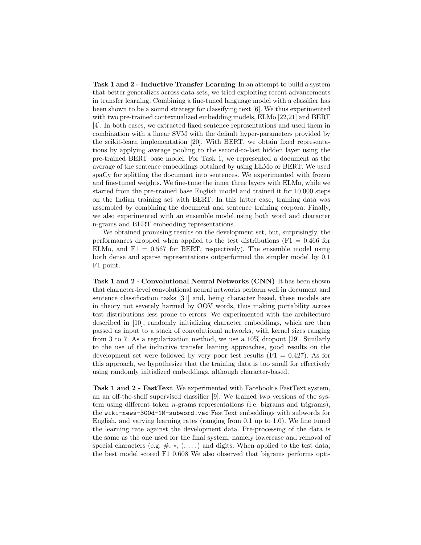Task 1 and 2 - Inductive Transfer Learning In an attempt to build a system that better generalizes across data sets, we tried exploiting recent advancements in transfer learning. Combining a fine-tuned language model with a classifier has been shown to be a sound strategy for classifying text [6]. We thus experimented with two pre-trained contextualized embedding models, ELMo [22,21] and BERT [4]. In both cases, we extracted fixed sentence representations and used them in combination with a linear SVM with the default hyper-parameters provided by the scikit-learn implementation [20]. With BERT, we obtain fixed representations by applying average pooling to the second-to-last hidden layer using the pre-trained BERT base model. For Task 1, we represented a document as the average of the sentence embeddings obtained by using ELMo or BERT. We used spaCy for splitting the document into sentences. We experimented with frozen and fine-tuned weights. We fine-tune the inner three layers with ELMo, while we started from the pre-trained base English model and trained it for 10,000 steps on the Indian training set with BERT. In this latter case, training data was assembled by combining the document and sentence training corpora. Finally, we also experimented with an ensemble model using both word and character n-grams and BERT embedding representations.

We obtained promising results on the development set, but, surprisingly, the performances dropped when applied to the test distributions ( $F1 = 0.466$  for ELMo, and  $F1 = 0.567$  for BERT, respectively). The ensemble model using both dense and sparse representations outperformed the simpler model by 0.1 F1 point.

Task 1 and 2 - Convolutional Neural Networks (CNN) It has been shown that character-level convolutional neural networks perform well in document and sentence classification tasks [31] and, being character based, these models are in theory not severely harmed by OOV words, thus making portability across test distributions less prone to errors. We experimented with the architecture described in [10], randomly initializing character embeddings, which are then passed as input to a stack of convolutional networks, with kernel sizes ranging from 3 to 7. As a regularization method, we use a 10% dropout [29]. Similarly to the use of the inductive transfer leaning approaches, good results on the development set were followed by very poor test results  $(F1 = 0.427)$ . As for this approach, we hypothesize that the training data is too small for effectively using randomly initialized embeddings, although character-based.

Task 1 and 2 - FastText We experimented with Facebook's FastText system, an an off-the-shelf supervised classifier [9]. We trained two versions of the system using different token n-grams representations (i.e. bigrams and trigrams), the wiki-news-300d-1M-subword.vec FastText embeddings with subwords for English, and varying learning rates (ranging from 0.1 up to 1.0). We fine tuned the learning rate against the development data. Pre-processing of the data is the same as the one used for the final system, namely lowercase and removal of special characters (e.g.  $\#$ ,  $*,$   $($ ,  $\ldots)$ ) and digits. When applied to the test data, the best model scored F1 0.608 We also observed that bigrams performs opti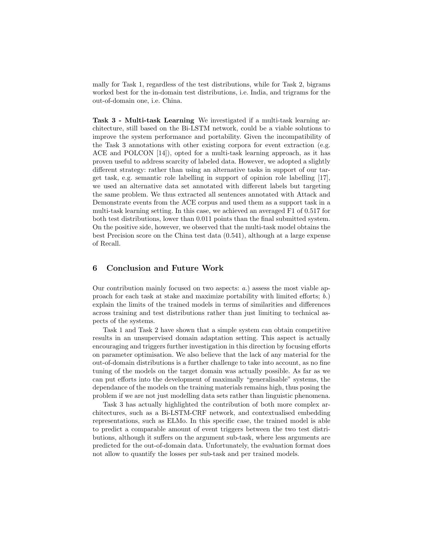mally for Task 1, regardless of the test distributions, while for Task 2, bigrams worked best for the in-domain test distributions, i.e. India, and trigrams for the out-of-domain one, i.e. China.

Task 3 - Multi-task Learning We investigated if a multi-task learning architecture, still based on the Bi-LSTM network, could be a viable solutions to improve the system performance and portability. Given the incompatibility of the Task 3 annotations with other existing corpora for event extraction (e.g. ACE and POLCON [14]), opted for a multi-task learning approach, as it has proven useful to address scarcity of labeled data. However, we adopted a slightly different strategy: rather than using an alternative tasks in support of our target task, e.g. semantic role labelling in support of opinion role labelling [17], we used an alternative data set annotated with different labels but targeting the same problem. We thus extracted all sentences annotated with Attack and Demonstrate events from the ACE corpus and used them as a support task in a multi-task learning setting. In this case, we achieved an averaged F1 of 0.517 for both test distributions, lower than 0.011 points than the final submitted system. On the positive side, however, we observed that the multi-task model obtains the best Precision score on the China test data (0.541), although at a large expense of Recall.

## 6 Conclusion and Future Work

Our contribution mainly focused on two aspects: a.) assess the most viable approach for each task at stake and maximize portability with limited efforts; b.) explain the limits of the trained models in terms of similarities and differences across training and test distributions rather than just limiting to technical aspects of the systems.

Task 1 and Task 2 have shown that a simple system can obtain competitive results in an unsupervised domain adaptation setting. This aspect is actually encouraging and triggers further investigation in this direction by focusing efforts on parameter optimisation. We also believe that the lack of any material for the out-of-domain distributions is a further challenge to take into account, as no fine tuning of the models on the target domain was actually possible. As far as we can put efforts into the development of maximally "generalisable" systems, the dependance of the models on the training materials remains high, thus posing the problem if we are not just modelling data sets rather than linguistic phenomena.

Task 3 has actually highlighted the contribution of both more complex architectures, such as a Bi-LSTM-CRF network, and contextualised embedding representations, such as ELMo. In this specific case, the trained model is able to predict a comparable amount of event triggers between the two test distributions, although it suffers on the argument sub-task, where less arguments are predicted for the out-of-domain data. Unfortunately, the evaluation format does not allow to quantify the losses per sub-task and per trained models.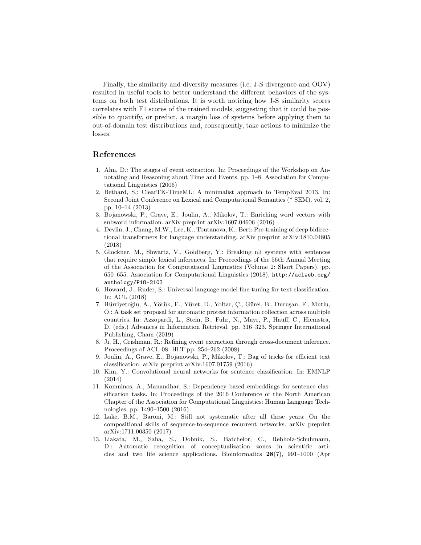Finally, the similarity and diversity measures (i.e. J-S divergence and OOV) resulted in useful tools to better understand the different behaviors of the systems on both test distributions. It is worth noticing how J-S similarity scores correlates with F1 scores of the trained models, suggesting that it could be possible to quantify, or predict, a margin loss of systems before applying them to out-of-domain test distributions and, consequently, take actions to minimize the losses.

### References

- 1. Ahn, D.: The stages of event extraction. In: Proceedings of the Workshop on Annotating and Reasoning about Time and Events. pp. 1–8. Association for Computational Linguistics (2006)
- 2. Bethard, S.: ClearTK-TimeML: A minimalist approach to TempEval 2013. In: Second Joint Conference on Lexical and Computational Semantics (\* SEM). vol. 2, pp. 10–14 (2013)
- 3. Bojanowski, P., Grave, E., Joulin, A., Mikolov, T.: Enriching word vectors with subword information. arXiv preprint arXiv:1607.04606 (2016)
- 4. Devlin, J., Chang, M.W., Lee, K., Toutanova, K.: Bert: Pre-training of deep bidirectional transformers for language understanding. arXiv preprint arXiv:1810.04805 (2018)
- 5. Glockner, M., Shwartz, V., Goldberg, Y.: Breaking nli systems with sentences that require simple lexical inferences. In: Proceedings of the 56th Annual Meeting of the Association for Computational Linguistics (Volume 2: Short Papers). pp. 650–655. Association for Computational Linguistics (2018), http://aclweb.org/ anthology/P18-2103
- 6. Howard, J., Ruder, S.: Universal language model fine-tuning for text classification. In: ACL (2018)
- 7. Hürriyetoğlu, A., Yörük, E., Yüret, D., Yoltar, C., Gürel, B., Duruşan, F., Mutlu, O.: A task set proposal for automatic protest information collection across multiple countries. In: Azzopardi, L., Stein, B., Fuhr, N., Mayr, P., Hauff, C., Hiemstra, D. (eds.) Advances in Information Retrieval. pp. 316–323. Springer International Publishing, Cham (2019)
- 8. Ji, H., Grishman, R.: Refining event extraction through cross-document inference. Proceedings of ACL-08: HLT pp. 254–262 (2008)
- 9. Joulin, A., Grave, E., Bojanowski, P., Mikolov, T.: Bag of tricks for efficient text classification. arXiv preprint arXiv:1607.01759 (2016)
- 10. Kim, Y.: Convolutional neural networks for sentence classification. In: EMNLP (2014)
- 11. Komninos, A., Manandhar, S.: Dependency based embeddings for sentence classification tasks. In: Proceedings of the 2016 Conference of the North American Chapter of the Association for Computational Linguistics: Human Language Technologies. pp. 1490–1500 (2016)
- 12. Lake, B.M., Baroni, M.: Still not systematic after all these years: On the compositional skills of sequence-to-sequence recurrent networks. arXiv preprint arXiv:1711.00350 (2017)
- 13. Liakata, M., Saha, S., Dobnik, S., Batchelor, C., Rebholz-Schuhmann, D.: Automatic recognition of conceptualization zones in scientific articles and two life science applications. Bioinformatics 28(7), 991–1000 (Apr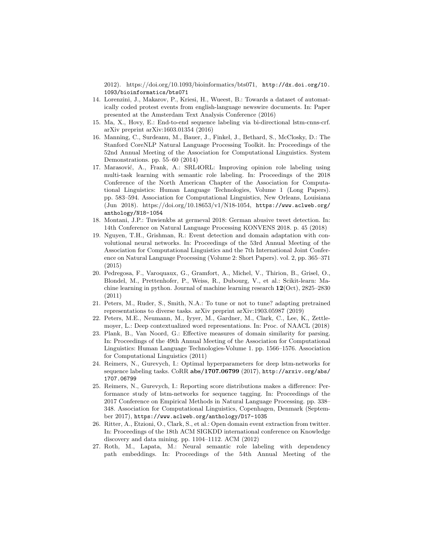2012). https://doi.org/10.1093/bioinformatics/bts071, http://dx.doi.org/10. 1093/bioinformatics/bts071

- 14. Lorenzini, J., Makarov, P., Kriesi, H., Wueest, B.: Towards a dataset of automatically coded protest events from english-language newswire documents. In: Paper presented at the Amsterdam Text Analysis Conference (2016)
- 15. Ma, X., Hovy, E.: End-to-end sequence labeling via bi-directional lstm-cnns-crf. arXiv preprint arXiv:1603.01354 (2016)
- 16. Manning, C., Surdeanu, M., Bauer, J., Finkel, J., Bethard, S., McClosky, D.: The Stanford CoreNLP Natural Language Processing Toolkit. In: Proceedings of the 52nd Annual Meeting of the Association for Computational Linguistics. System Demonstrations. pp. 55–60 (2014)
- 17. Marasović, A., Frank, A.: SRL4ORL: Improving opinion role labeling using multi-task learning with semantic role labeling. In: Proceedings of the 2018 Conference of the North American Chapter of the Association for Computational Linguistics: Human Language Technologies, Volume 1 (Long Papers). pp. 583–594. Association for Computational Linguistics, New Orleans, Louisiana (Jun 2018). https://doi.org/10.18653/v1/N18-1054, https://www.aclweb.org/ anthology/N18-1054
- 18. Montani, J.P.: Tuwienkbs at germeval 2018: German abusive tweet detection. In: 14th Conference on Natural Language Processing KONVENS 2018. p. 45 (2018)
- 19. Nguyen, T.H., Grishman, R.: Event detection and domain adaptation with convolutional neural networks. In: Proceedings of the 53rd Annual Meeting of the Association for Computational Linguistics and the 7th International Joint Conference on Natural Language Processing (Volume 2: Short Papers). vol. 2, pp. 365–371 (2015)
- 20. Pedregosa, F., Varoquaux, G., Gramfort, A., Michel, V., Thirion, B., Grisel, O., Blondel, M., Prettenhofer, P., Weiss, R., Dubourg, V., et al.: Scikit-learn: Machine learning in python. Journal of machine learning research 12(Oct), 2825–2830 (2011)
- 21. Peters, M., Ruder, S., Smith, N.A.: To tune or not to tune? adapting pretrained representations to diverse tasks. arXiv preprint arXiv:1903.05987 (2019)
- 22. Peters, M.E., Neumann, M., Iyyer, M., Gardner, M., Clark, C., Lee, K., Zettlemoyer, L.: Deep contextualized word representations. In: Proc. of NAACL (2018)
- 23. Plank, B., Van Noord, G.: Effective measures of domain similarity for parsing. In: Proceedings of the 49th Annual Meeting of the Association for Computational Linguistics: Human Language Technologies-Volume 1. pp. 1566–1576. Association for Computational Linguistics (2011)
- 24. Reimers, N., Gurevych, I.: Optimal hyperparameters for deep lstm-networks for sequence labeling tasks. CoRR abs/1707.06799 (2017), http://arxiv.org/abs/ 1707.06799
- 25. Reimers, N., Gurevych, I.: Reporting score distributions makes a difference: Performance study of lstm-networks for sequence tagging. In: Proceedings of the 2017 Conference on Empirical Methods in Natural Language Processing. pp. 338– 348. Association for Computational Linguistics, Copenhagen, Denmark (September 2017), https://www.aclweb.org/anthology/D17-1035
- 26. Ritter, A., Etzioni, O., Clark, S., et al.: Open domain event extraction from twitter. In: Proceedings of the 18th ACM SIGKDD international conference on Knowledge discovery and data mining. pp. 1104–1112. ACM (2012)
- 27. Roth, M., Lapata, M.: Neural semantic role labeling with dependency path embeddings. In: Proceedings of the 54th Annual Meeting of the